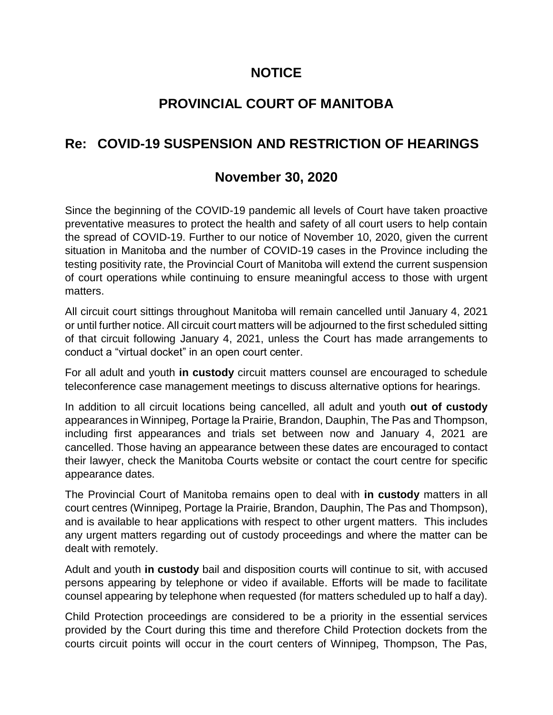## **NOTICE**

# **PROVINCIAL COURT OF MANITOBA**

## **Re: COVID-19 SUSPENSION AND RESTRICTION OF HEARINGS**

## **November 30, 2020**

Since the beginning of the COVID-19 pandemic all levels of Court have taken proactive preventative measures to protect the health and safety of all court users to help contain the spread of COVID-19. Further to our notice of November 10, 2020, given the current situation in Manitoba and the number of COVID-19 cases in the Province including the testing positivity rate, the Provincial Court of Manitoba will extend the current suspension of court operations while continuing to ensure meaningful access to those with urgent matters.

All circuit court sittings throughout Manitoba will remain cancelled until January 4, 2021 or until further notice. All circuit court matters will be adjourned to the first scheduled sitting of that circuit following January 4, 2021, unless the Court has made arrangements to conduct a "virtual docket" in an open court center.

For all adult and youth **in custody** circuit matters counsel are encouraged to schedule teleconference case management meetings to discuss alternative options for hearings.

In addition to all circuit locations being cancelled, all adult and youth **out of custody** appearances in Winnipeg, Portage la Prairie, Brandon, Dauphin, The Pas and Thompson, including first appearances and trials set between now and January 4, 2021 are cancelled. Those having an appearance between these dates are encouraged to contact their lawyer, check the Manitoba Courts website or contact the court centre for specific appearance dates.

The Provincial Court of Manitoba remains open to deal with **in custody** matters in all court centres (Winnipeg, Portage la Prairie, Brandon, Dauphin, The Pas and Thompson), and is available to hear applications with respect to other urgent matters. This includes any urgent matters regarding out of custody proceedings and where the matter can be dealt with remotely.

Adult and youth **in custody** bail and disposition courts will continue to sit, with accused persons appearing by telephone or video if available. Efforts will be made to facilitate counsel appearing by telephone when requested (for matters scheduled up to half a day).

Child Protection proceedings are considered to be a priority in the essential services provided by the Court during this time and therefore Child Protection dockets from the courts circuit points will occur in the court centers of Winnipeg, Thompson, The Pas,